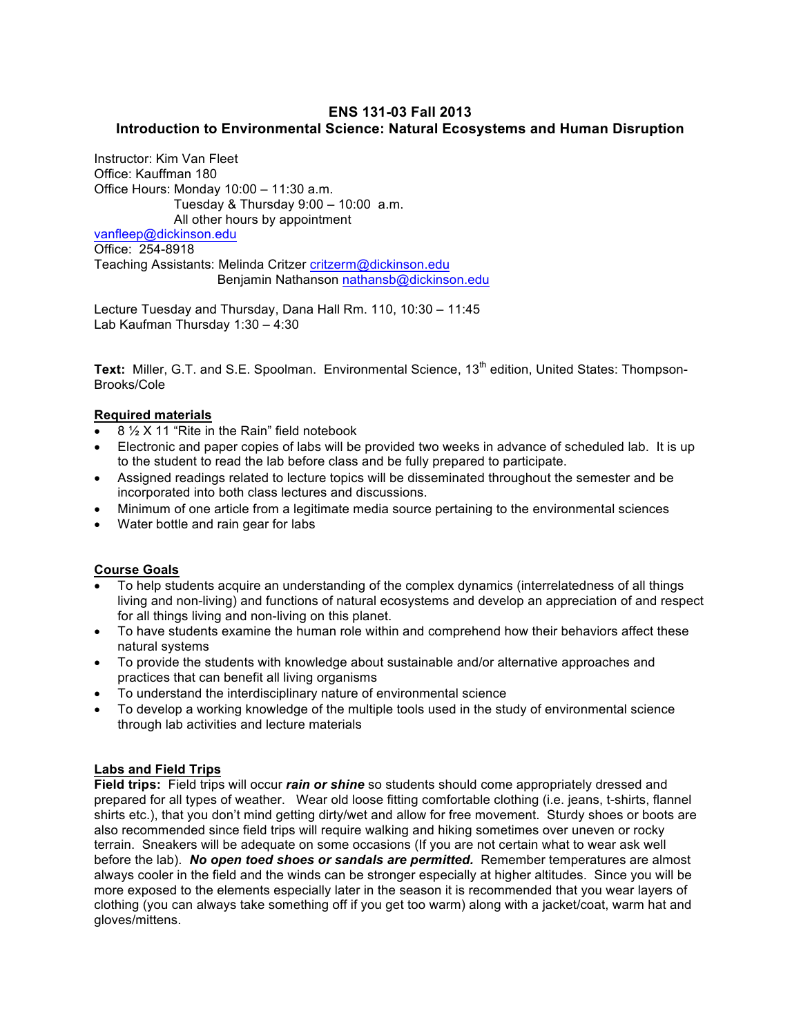# **ENS 131-03 Fall 2013 Introduction to Environmental Science: Natural Ecosystems and Human Disruption**

Instructor: Kim Van Fleet Office: Kauffman 180 Office Hours: Monday 10:00 – 11:30 a.m. Tuesday & Thursday 9:00 – 10:00 a.m. All other hours by appointment

vanfleep@dickinson.edu Office: 254-8918 Teaching Assistants: Melinda Critzer critzerm@dickinson.edu Benjamin Nathanson nathansb@dickinson.edu

Lecture Tuesday and Thursday, Dana Hall Rm. 110, 10:30 – 11:45 Lab Kaufman Thursday 1:30 – 4:30

**Text:** Miller, G.T. and S.E. Spoolman. Environmental Science, 13<sup>th</sup> edition, United States: Thompson-Brooks/Cole

## **Required materials**

- 8 ½ X 11 "Rite in the Rain" field notebook
- Electronic and paper copies of labs will be provided two weeks in advance of scheduled lab. It is up to the student to read the lab before class and be fully prepared to participate.
- Assigned readings related to lecture topics will be disseminated throughout the semester and be incorporated into both class lectures and discussions.
- Minimum of one article from a legitimate media source pertaining to the environmental sciences
- Water bottle and rain gear for labs

## **Course Goals**

- To help students acquire an understanding of the complex dynamics (interrelatedness of all things living and non-living) and functions of natural ecosystems and develop an appreciation of and respect for all things living and non-living on this planet.
- To have students examine the human role within and comprehend how their behaviors affect these natural systems
- To provide the students with knowledge about sustainable and/or alternative approaches and practices that can benefit all living organisms
- To understand the interdisciplinary nature of environmental science
- To develop a working knowledge of the multiple tools used in the study of environmental science through lab activities and lecture materials

## **Labs and Field Trips**

**Field trips:** Field trips will occur *rain or shine* so students should come appropriately dressed and prepared for all types of weather. Wear old loose fitting comfortable clothing (i.e. jeans, t-shirts, flannel shirts etc.), that you don't mind getting dirty/wet and allow for free movement. Sturdy shoes or boots are also recommended since field trips will require walking and hiking sometimes over uneven or rocky terrain. Sneakers will be adequate on some occasions (If you are not certain what to wear ask well before the lab). *No open toed shoes or sandals are permitted.* Remember temperatures are almost always cooler in the field and the winds can be stronger especially at higher altitudes. Since you will be more exposed to the elements especially later in the season it is recommended that you wear layers of clothing (you can always take something off if you get too warm) along with a jacket/coat, warm hat and gloves/mittens.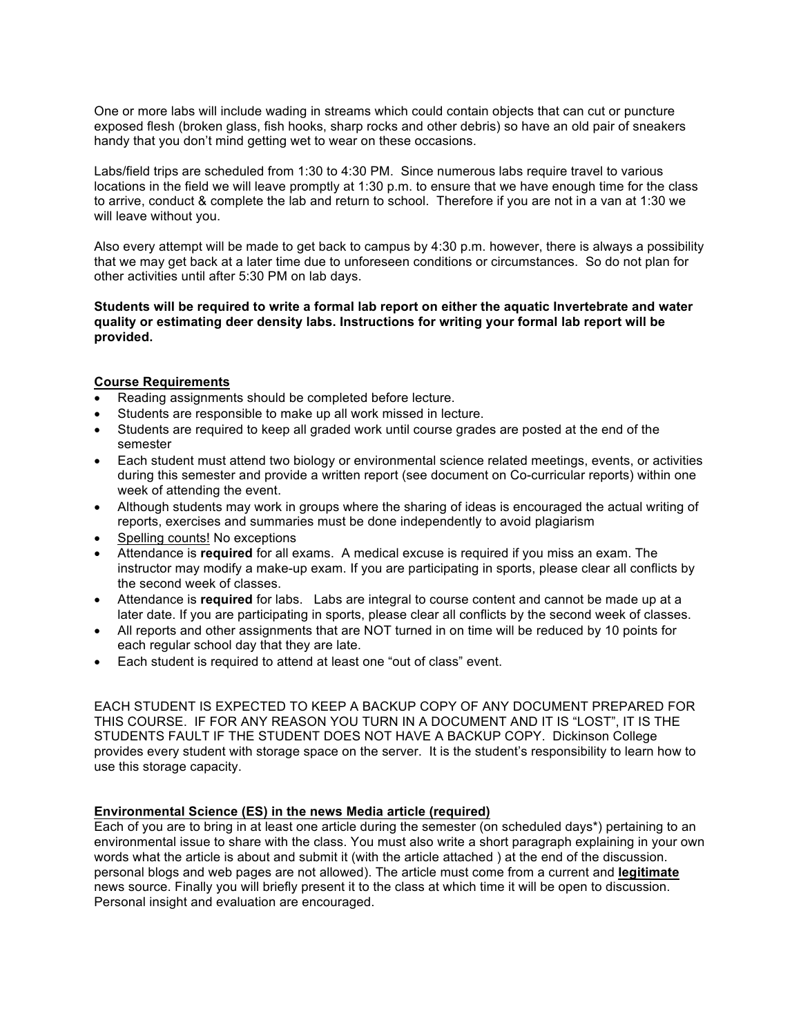One or more labs will include wading in streams which could contain objects that can cut or puncture exposed flesh (broken glass, fish hooks, sharp rocks and other debris) so have an old pair of sneakers handy that you don't mind getting wet to wear on these occasions.

Labs/field trips are scheduled from 1:30 to 4:30 PM. Since numerous labs require travel to various locations in the field we will leave promptly at 1:30 p.m. to ensure that we have enough time for the class to arrive, conduct & complete the lab and return to school. Therefore if you are not in a van at 1:30 we will leave without you.

Also every attempt will be made to get back to campus by 4:30 p.m. however, there is always a possibility that we may get back at a later time due to unforeseen conditions or circumstances. So do not plan for other activities until after 5:30 PM on lab days.

**Students will be required to write a formal lab report on either the aquatic Invertebrate and water quality or estimating deer density labs. Instructions for writing your formal lab report will be provided.**

### **Course Requirements**

- Reading assignments should be completed before lecture.
- Students are responsible to make up all work missed in lecture.
- Students are required to keep all graded work until course grades are posted at the end of the semester
- Each student must attend two biology or environmental science related meetings, events, or activities during this semester and provide a written report (see document on Co-curricular reports) within one week of attending the event.
- Although students may work in groups where the sharing of ideas is encouraged the actual writing of reports, exercises and summaries must be done independently to avoid plagiarism
- Spelling counts! No exceptions
- Attendance is **required** for all exams. A medical excuse is required if you miss an exam. The instructor may modify a make-up exam. If you are participating in sports, please clear all conflicts by the second week of classes.
- Attendance is **required** for labs. Labs are integral to course content and cannot be made up at a later date. If you are participating in sports, please clear all conflicts by the second week of classes.
- All reports and other assignments that are NOT turned in on time will be reduced by 10 points for each regular school day that they are late.
- Each student is required to attend at least one "out of class" event.

EACH STUDENT IS EXPECTED TO KEEP A BACKUP COPY OF ANY DOCUMENT PREPARED FOR THIS COURSE. IF FOR ANY REASON YOU TURN IN A DOCUMENT AND IT IS "LOST", IT IS THE STUDENTS FAULT IF THE STUDENT DOES NOT HAVE A BACKUP COPY. Dickinson College provides every student with storage space on the server. It is the student's responsibility to learn how to use this storage capacity.

### **Environmental Science (ES) in the news Media article (required)**

Each of you are to bring in at least one article during the semester (on scheduled days\*) pertaining to an environmental issue to share with the class. You must also write a short paragraph explaining in your own words what the article is about and submit it (with the article attached ) at the end of the discussion. personal blogs and web pages are not allowed). The article must come from a current and **legitimate**  news source. Finally you will briefly present it to the class at which time it will be open to discussion. Personal insight and evaluation are encouraged.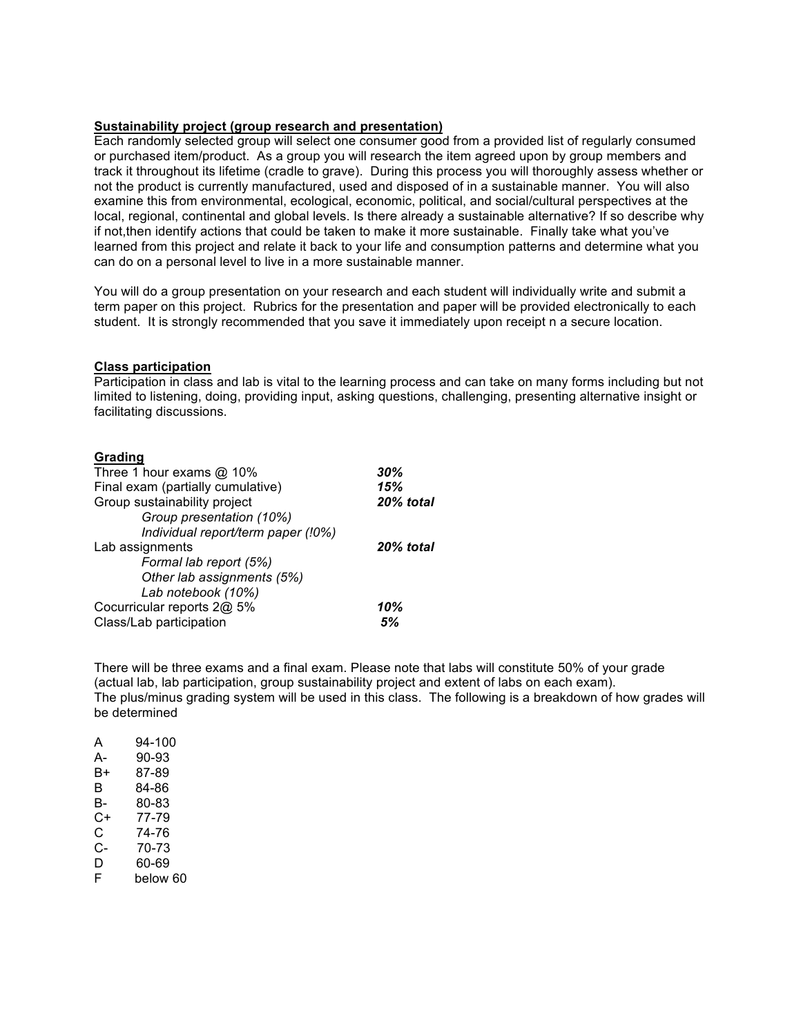## **Sustainability project (group research and presentation)**

Each randomly selected group will select one consumer good from a provided list of regularly consumed or purchased item/product. As a group you will research the item agreed upon by group members and track it throughout its lifetime (cradle to grave). During this process you will thoroughly assess whether or not the product is currently manufactured, used and disposed of in a sustainable manner. You will also examine this from environmental, ecological, economic, political, and social/cultural perspectives at the local, regional, continental and global levels. Is there already a sustainable alternative? If so describe why if not,then identify actions that could be taken to make it more sustainable. Finally take what you've learned from this project and relate it back to your life and consumption patterns and determine what you can do on a personal level to live in a more sustainable manner.

You will do a group presentation on your research and each student will individually write and submit a term paper on this project. Rubrics for the presentation and paper will be provided electronically to each student. It is strongly recommended that you save it immediately upon receipt n a secure location.

### **Class participation**

Participation in class and lab is vital to the learning process and can take on many forms including but not limited to listening, doing, providing input, asking questions, challenging, presenting alternative insight or facilitating discussions.

### **Grading**

| Three 1 hour exams @ 10%           | 30%       |
|------------------------------------|-----------|
| Final exam (partially cumulative)  | 15%       |
| Group sustainability project       | 20% total |
| Group presentation (10%)           |           |
| Individual report/term paper (!0%) |           |
| Lab assignments                    | 20% total |
| Formal lab report (5%)             |           |
| Other lab assignments (5%)         |           |
| Lab notebook (10%)                 |           |
| Cocurricular reports 2@ 5%         | 10%       |
| Class/Lab participation            | 5%        |

There will be three exams and a final exam. Please note that labs will constitute 50% of your grade (actual lab, lab participation, group sustainability project and extent of labs on each exam). The plus/minus grading system will be used in this class. The following is a breakdown of how grades will be determined

| 94-100   |
|----------|
| 90-93    |
| 87-89    |
| 84-86    |
| 80-83    |
| 77-79    |
| 74-76    |
| 70-73    |
| 60-69    |
| below 60 |
|          |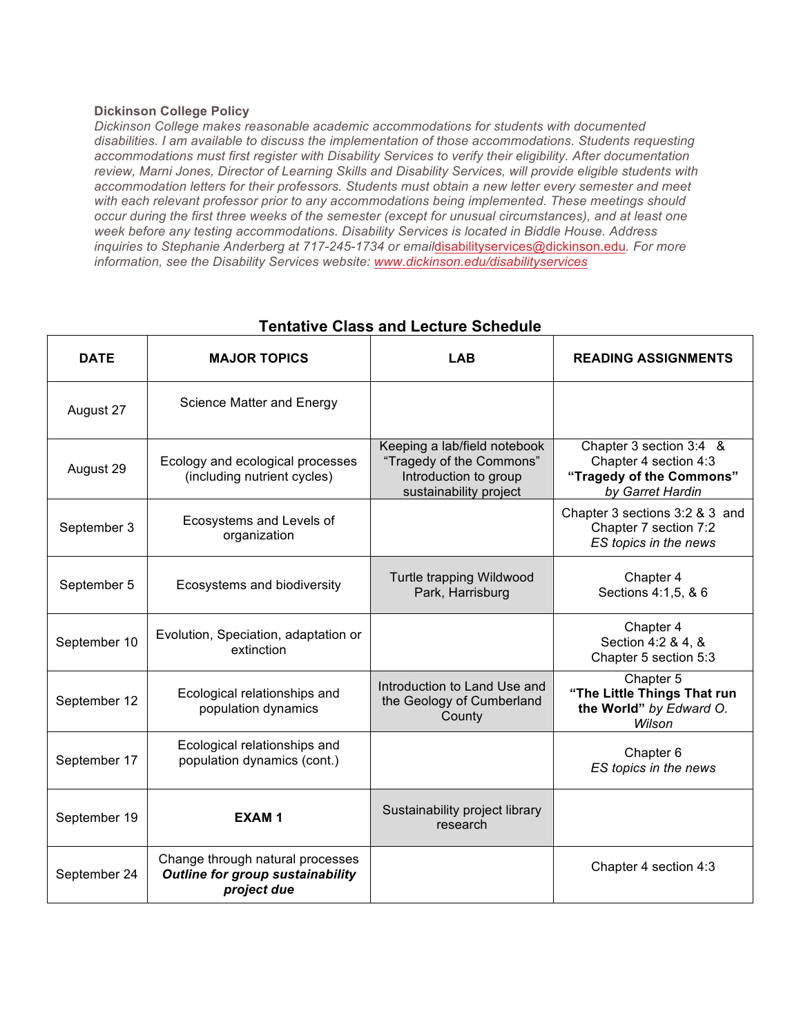## **Dickinson College Policy**

*Dickinson College makes reasonable academic accommodations for students with documented disabilities. I am available to discuss the implementation of those accommodations. Students requesting accommodations must first register with Disability Services to verify their eligibility. After documentation review, Marni Jones, Director of Learning Skills and Disability Services, will provide eligible students with accommodation letters for their professors. Students must obtain a new letter every semester and meet with each relevant professor prior to any accommodations being implemented. These meetings should occur during the first three weeks of the semester (except for unusual circumstances), and at least one week before any testing accommodations. Disability Services is located in Biddle House. Address inquiries to Stephanie Anderberg at 717-245-1734 or email*disabilityservices@dickinson.edu*. For more information, see the Disability Services website: www.dickinson.edu/disabilityservices*

| <b>DATE</b>  | <b>MAJOR TOPICS</b>                                                                        | <b>LAB</b>                                                                                                  | <b>READING ASSIGNMENTS</b>                                                                       |
|--------------|--------------------------------------------------------------------------------------------|-------------------------------------------------------------------------------------------------------------|--------------------------------------------------------------------------------------------------|
| August 27    | Science Matter and Energy                                                                  |                                                                                                             |                                                                                                  |
| August 29    | Ecology and ecological processes<br>(including nutrient cycles)                            | Keeping a lab/field notebook<br>"Tragedy of the Commons"<br>Introduction to group<br>sustainability project | Chapter 3 section 3:4 &<br>Chapter 4 section 4:3<br>"Tragedy of the Commons"<br>by Garret Hardin |
| September 3  | Ecosystems and Levels of<br>organization                                                   |                                                                                                             | Chapter 3 sections 3:2 & 3 and<br>Chapter 7 section 7:2<br>ES topics in the news                 |
| September 5  | Ecosystems and biodiversity                                                                | Turtle trapping Wildwood<br>Park, Harrisburg                                                                | Chapter 4<br>Sections 4:1,5, & 6                                                                 |
| September 10 | Evolution, Speciation, adaptation or<br>extinction                                         |                                                                                                             | Chapter 4<br>Section 4:2 & 4, &<br>Chapter 5 section 5:3                                         |
| September 12 | Ecological relationships and<br>population dynamics                                        | Introduction to Land Use and<br>the Geology of Cumberland<br>County                                         | Chapter 5<br>"The Little Things That run<br>the World" by Edward O.<br>Wilson                    |
| September 17 | Ecological relationships and<br>population dynamics (cont.)                                |                                                                                                             | Chapter 6<br>ES topics in the news                                                               |
| September 19 | <b>EXAM1</b>                                                                               | Sustainability project library<br>research                                                                  |                                                                                                  |
| September 24 | Change through natural processes<br><b>Outline for group sustainability</b><br>project due |                                                                                                             | Chapter 4 section 4:3                                                                            |

# **Tentative Class and Lecture Schedule**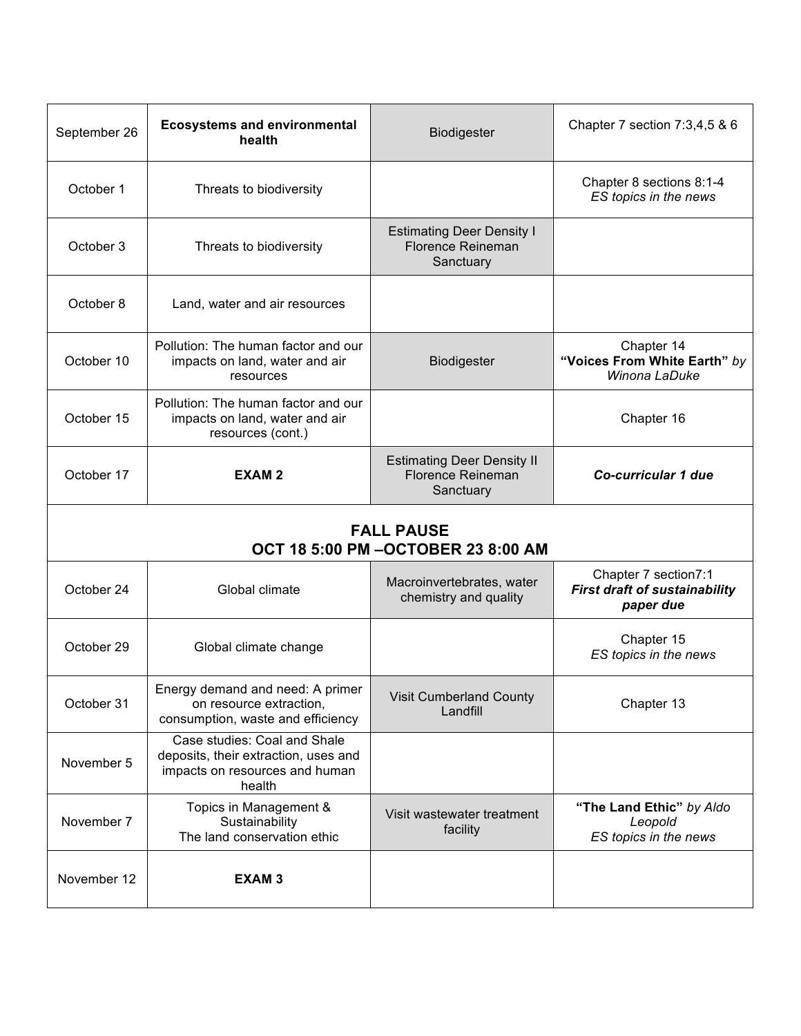| September 26                                             | <b>Ecosystems and environmental</b><br>health                                                                    | Biodigester                                                         | Chapter 7 section 7:3,4,5 & 6                                             |
|----------------------------------------------------------|------------------------------------------------------------------------------------------------------------------|---------------------------------------------------------------------|---------------------------------------------------------------------------|
| October 1                                                | Threats to biodiversity                                                                                          |                                                                     | Chapter 8 sections 8:1-4<br>ES topics in the news                         |
| October 3                                                | Threats to biodiversity                                                                                          | <b>Estimating Deer Density I</b><br>Florence Reineman<br>Sanctuary  |                                                                           |
| October 8                                                | Land, water and air resources                                                                                    |                                                                     |                                                                           |
| October 10                                               | Pollution: The human factor and our<br>impacts on land, water and air<br>resources                               | Biodigester                                                         | Chapter 14<br>"Voices From White Earth" by<br>Winona LaDuke               |
| October 15                                               | Pollution: The human factor and our<br>impacts on land, water and air<br>resources (cont.)                       |                                                                     | Chapter 16                                                                |
| October 17                                               | <b>EXAM2</b>                                                                                                     | <b>Estimating Deer Density II</b><br>Florence Reineman<br>Sanctuary | <b>Co-curricular 1 due</b>                                                |
| <b>FALL PAUSE</b><br>OCT 18 5:00 PM - OCTOBER 23 8:00 AM |                                                                                                                  |                                                                     |                                                                           |
| October 24                                               | Global climate                                                                                                   | Macroinvertebrates, water<br>chemistry and quality                  | Chapter 7 section7:1<br><b>First draft of sustainability</b><br>paper due |
| October 29                                               | Global climate change                                                                                            |                                                                     | Chapter 15<br>ES topics in the news                                       |
| October 31                                               | Energy demand and need: A primer<br>on resource extraction,<br>consumption, waste and efficiency                 | <b>Visit Cumberland County</b><br>Landfill                          | Chapter 13                                                                |
| November 5                                               | Case studies: Coal and Shale<br>deposits, their extraction, uses and<br>impacts on resources and human<br>health |                                                                     |                                                                           |
| November 7                                               | Topics in Management &<br>Sustainability<br>The land conservation ethic                                          | Visit wastewater treatment<br>facility                              | "The Land Ethic" by Aldo<br>Leopold<br>ES topics in the news              |
| November 12                                              | EXAM <sub>3</sub>                                                                                                |                                                                     |                                                                           |